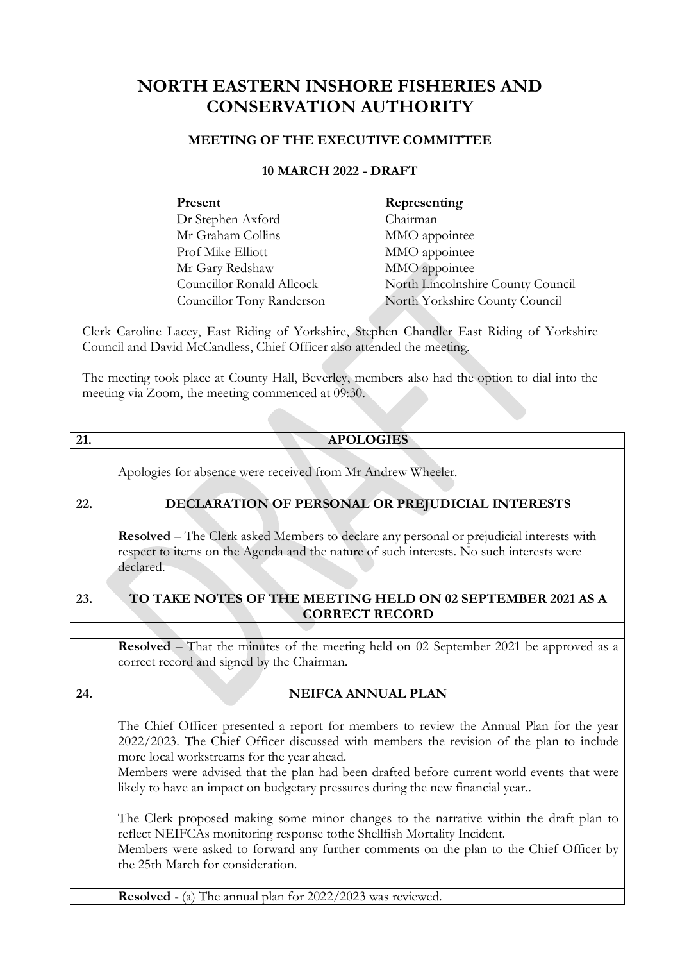## **NORTH EASTERN INSHORE FISHERIES AND CONSERVATION AUTHORITY**

## **MEETING OF THE EXECUTIVE COMMITTEE**

## **10 MARCH 2022 - DRAFT**

| Present                   | Representing                      |
|---------------------------|-----------------------------------|
| Dr Stephen Axford         | Chairman                          |
| Mr Graham Collins         | MMO appointee                     |
| Prof Mike Elliott         | MMO appointee                     |
| Mr Gary Redshaw           | MMO appointee                     |
| Councillor Ronald Allcock | North Lincolnshire County Council |
| Councillor Tony Randerson | North Yorkshire County Council    |

Clerk Caroline Lacey, East Riding of Yorkshire, Stephen Chandler East Riding of Yorkshire Council and David McCandless, Chief Officer also attended the meeting.

The meeting took place at County Hall, Beverley, members also had the option to dial into the meeting via Zoom, the meeting commenced at 09:30.

| 21. | <b>APOLOGIES</b>                                                                                                                                                                                                                 |  |
|-----|----------------------------------------------------------------------------------------------------------------------------------------------------------------------------------------------------------------------------------|--|
|     |                                                                                                                                                                                                                                  |  |
|     | Apologies for absence were received from Mr Andrew Wheeler.                                                                                                                                                                      |  |
|     |                                                                                                                                                                                                                                  |  |
| 22. | DECLARATION OF PERSONAL OR PREJUDICIAL INTERESTS                                                                                                                                                                                 |  |
|     |                                                                                                                                                                                                                                  |  |
|     | Resolved - The Clerk asked Members to declare any personal or prejudicial interests with                                                                                                                                         |  |
|     | respect to items on the Agenda and the nature of such interests. No such interests were                                                                                                                                          |  |
|     | declared.                                                                                                                                                                                                                        |  |
|     |                                                                                                                                                                                                                                  |  |
| 23. | TO TAKE NOTES OF THE MEETING HELD ON 02 SEPTEMBER 2021 AS A                                                                                                                                                                      |  |
|     | <b>CORRECT RECORD</b>                                                                                                                                                                                                            |  |
|     |                                                                                                                                                                                                                                  |  |
|     | Resolved - That the minutes of the meeting held on 02 September 2021 be approved as a                                                                                                                                            |  |
|     | correct record and signed by the Chairman.                                                                                                                                                                                       |  |
|     |                                                                                                                                                                                                                                  |  |
| 24. | <b>NEIFCA ANNUAL PLAN</b>                                                                                                                                                                                                        |  |
|     |                                                                                                                                                                                                                                  |  |
|     | The Chief Officer presented a report for members to review the Annual Plan for the year<br>2022/2023. The Chief Officer discussed with members the revision of the plan to include<br>more local workstreams for the year ahead. |  |
|     | Members were advised that the plan had been drafted before current world events that were<br>likely to have an impact on budgetary pressures during the new financial year                                                       |  |
|     | The Clerk proposed making some minor changes to the narrative within the draft plan to<br>reflect NEIFCAs monitoring response to the Shellfish Mortality Incident.                                                               |  |
|     | Members were asked to forward any further comments on the plan to the Chief Officer by<br>the 25th March for consideration.                                                                                                      |  |
|     |                                                                                                                                                                                                                                  |  |
|     | <b>Resolved</b> - (a) The annual plan for 2022/2023 was reviewed.                                                                                                                                                                |  |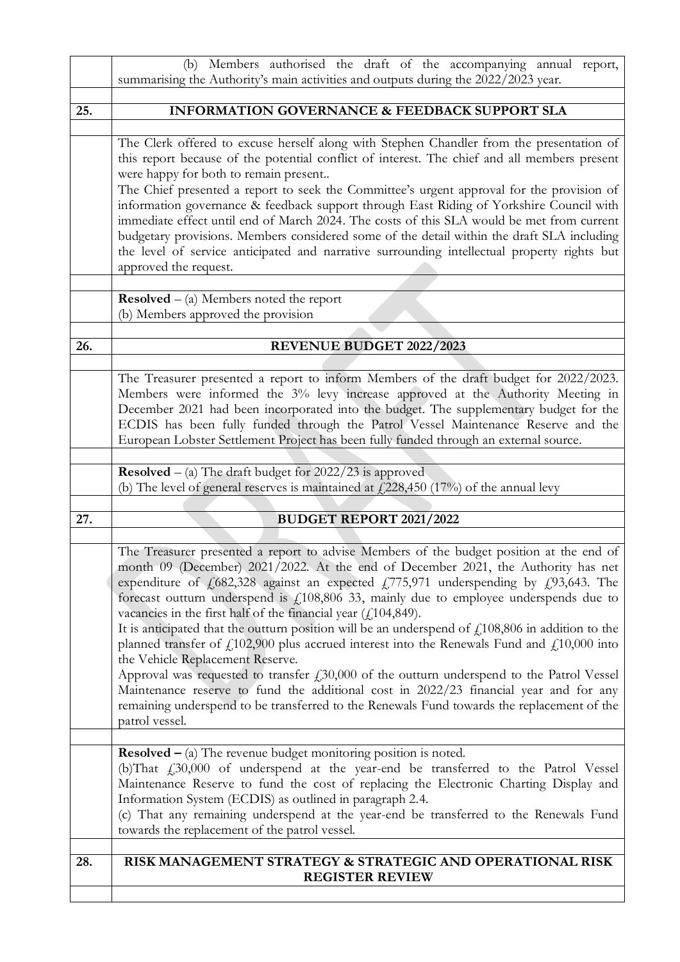|     | (b) Members authorised the draft of the accompanying annual report,<br>summarising the Authority's main activities and outputs during the 2022/2023 year.                                                                                                                                                                                                                                                                                                                                                                                                                                                                                                                                                                                                                                                                                                                                                                                                                                                                      |
|-----|--------------------------------------------------------------------------------------------------------------------------------------------------------------------------------------------------------------------------------------------------------------------------------------------------------------------------------------------------------------------------------------------------------------------------------------------------------------------------------------------------------------------------------------------------------------------------------------------------------------------------------------------------------------------------------------------------------------------------------------------------------------------------------------------------------------------------------------------------------------------------------------------------------------------------------------------------------------------------------------------------------------------------------|
|     |                                                                                                                                                                                                                                                                                                                                                                                                                                                                                                                                                                                                                                                                                                                                                                                                                                                                                                                                                                                                                                |
| 25. | <b>INFORMATION GOVERNANCE &amp; FEEDBACK SUPPORT SLA</b>                                                                                                                                                                                                                                                                                                                                                                                                                                                                                                                                                                                                                                                                                                                                                                                                                                                                                                                                                                       |
|     | The Clerk offered to excuse herself along with Stephen Chandler from the presentation of<br>this report because of the potential conflict of interest. The chief and all members present<br>were happy for both to remain present<br>The Chief presented a report to seek the Committee's urgent approval for the provision of<br>information governance & feedback support through East Riding of Yorkshire Council with<br>immediate effect until end of March 2024. The costs of this SLA would be met from current<br>budgetary provisions. Members considered some of the detail within the draft SLA including<br>the level of service anticipated and narrative surrounding intellectual property rights but<br>approved the request.                                                                                                                                                                                                                                                                                   |
|     | <b>Resolved</b> $-$ (a) Members noted the report<br>(b) Members approved the provision                                                                                                                                                                                                                                                                                                                                                                                                                                                                                                                                                                                                                                                                                                                                                                                                                                                                                                                                         |
|     |                                                                                                                                                                                                                                                                                                                                                                                                                                                                                                                                                                                                                                                                                                                                                                                                                                                                                                                                                                                                                                |
| 26. | <b>REVENUE BUDGET 2022/2023</b>                                                                                                                                                                                                                                                                                                                                                                                                                                                                                                                                                                                                                                                                                                                                                                                                                                                                                                                                                                                                |
|     | The Treasurer presented a report to inform Members of the draft budget for 2022/2023.<br>Members were informed the 3% levy increase approved at the Authority Meeting in<br>December 2021 had been incorporated into the budget. The supplementary budget for the<br>ECDIS has been fully funded through the Patrol Vessel Maintenance Reserve and the<br>European Lobster Settlement Project has been fully funded through an external source.                                                                                                                                                                                                                                                                                                                                                                                                                                                                                                                                                                                |
|     | <b>Resolved</b> $-$ (a) The draft budget for $2022/23$ is approved<br>(b) The level of general reserves is maintained at $\text{\textsterling}228,\!450$ (17%) of the annual levy                                                                                                                                                                                                                                                                                                                                                                                                                                                                                                                                                                                                                                                                                                                                                                                                                                              |
|     |                                                                                                                                                                                                                                                                                                                                                                                                                                                                                                                                                                                                                                                                                                                                                                                                                                                                                                                                                                                                                                |
| 27. | <b>BUDGET REPORT 2021/2022</b>                                                                                                                                                                                                                                                                                                                                                                                                                                                                                                                                                                                                                                                                                                                                                                                                                                                                                                                                                                                                 |
|     | The Treasurer presented a report to advise Members of the budget position at the end of<br>month 09 (December) 2021/2022. At the end of December 2021, the Authority has net<br>expenditure of $f(682,328)$ against an expected $f(775,971)$ underspending by $f(93,643)$ . The<br>forecast outturn underspend is $f_1108,806$ 33, mainly due to employee underspends due to<br>vacancies in the first half of the financial year $(f.104,849)$ .<br>It is anticipated that the outturn position will be an underspend of $\text{\textsterling}108,806$ in addition to the<br>planned transfer of $f(102,900)$ plus accrued interest into the Renewals Fund and $f(10,000)$ into<br>the Vehicle Replacement Reserve.<br>Approval was requested to transfer $f_130,000$ of the outturn underspend to the Patrol Vessel<br>Maintenance reserve to fund the additional cost in 2022/23 financial year and for any<br>remaining underspend to be transferred to the Renewals Fund towards the replacement of the<br>patrol vessel. |
|     | <b>Resolved</b> $-$ (a) The revenue budget monitoring position is noted.<br>(b) That $f_{1,3}30,000$ of underspend at the year-end be transferred to the Patrol Vessel<br>Maintenance Reserve to fund the cost of replacing the Electronic Charting Display and<br>Information System (ECDIS) as outlined in paragraph 2.4.<br>(c) That any remaining underspend at the year-end be transferred to the Renewals Fund<br>towards the replacement of the patrol vessel.                                                                                                                                                                                                                                                                                                                                                                                                                                                                                                                                                          |
| 28. | RISK MANAGEMENT STRATEGY & STRATEGIC AND OPERATIONAL RISK<br><b>REGISTER REVIEW</b>                                                                                                                                                                                                                                                                                                                                                                                                                                                                                                                                                                                                                                                                                                                                                                                                                                                                                                                                            |
|     |                                                                                                                                                                                                                                                                                                                                                                                                                                                                                                                                                                                                                                                                                                                                                                                                                                                                                                                                                                                                                                |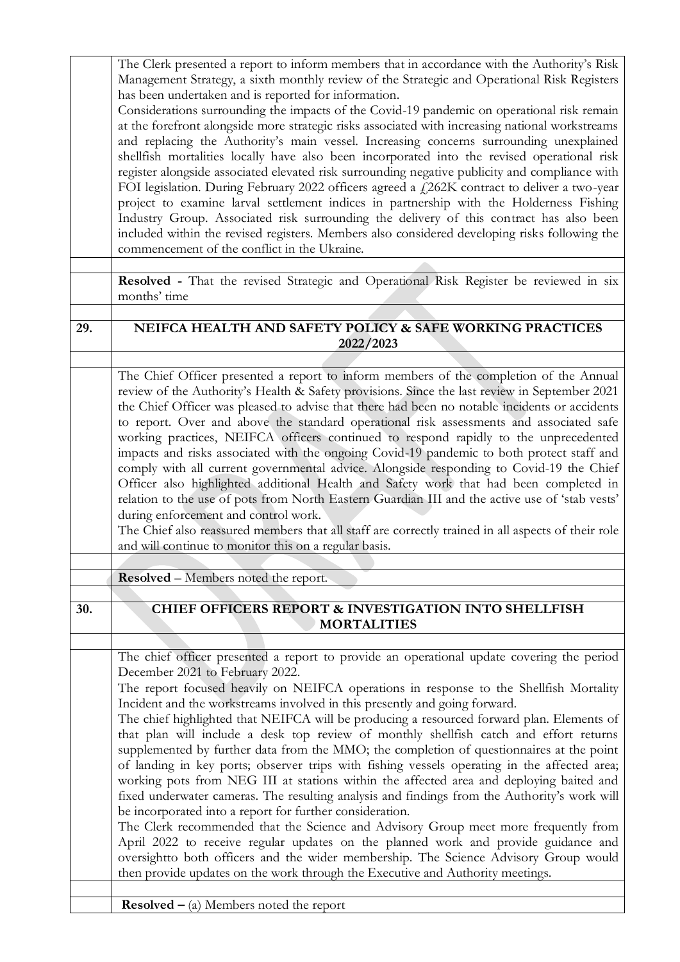|     | The Clerk presented a report to inform members that in accordance with the Authority's Risk<br>Management Strategy, a sixth monthly review of the Strategic and Operational Risk Registers<br>has been undertaken and is reported for information.<br>Considerations surrounding the impacts of the Covid-19 pandemic on operational risk remain<br>at the forefront alongside more strategic risks associated with increasing national workstreams<br>and replacing the Authority's main vessel. Increasing concerns surrounding unexplained<br>shellfish mortalities locally have also been incorporated into the revised operational risk<br>register alongside associated elevated risk surrounding negative publicity and compliance with<br>FOI legislation. During February 2022 officers agreed a £262K contract to deliver a two-year<br>project to examine larval settlement indices in partnership with the Holderness Fishing<br>Industry Group. Associated risk surrounding the delivery of this contract has also been<br>included within the revised registers. Members also considered developing risks following the<br>commencement of the conflict in the Ukraine.                                                                                                                 |
|-----|-------------------------------------------------------------------------------------------------------------------------------------------------------------------------------------------------------------------------------------------------------------------------------------------------------------------------------------------------------------------------------------------------------------------------------------------------------------------------------------------------------------------------------------------------------------------------------------------------------------------------------------------------------------------------------------------------------------------------------------------------------------------------------------------------------------------------------------------------------------------------------------------------------------------------------------------------------------------------------------------------------------------------------------------------------------------------------------------------------------------------------------------------------------------------------------------------------------------------------------------------------------------------------------------------------|
|     | Resolved - That the revised Strategic and Operational Risk Register be reviewed in six<br>months' time                                                                                                                                                                                                                                                                                                                                                                                                                                                                                                                                                                                                                                                                                                                                                                                                                                                                                                                                                                                                                                                                                                                                                                                                |
| 29. | NEIFCA HEALTH AND SAFETY POLICY & SAFE WORKING PRACTICES<br>2022/2023                                                                                                                                                                                                                                                                                                                                                                                                                                                                                                                                                                                                                                                                                                                                                                                                                                                                                                                                                                                                                                                                                                                                                                                                                                 |
|     |                                                                                                                                                                                                                                                                                                                                                                                                                                                                                                                                                                                                                                                                                                                                                                                                                                                                                                                                                                                                                                                                                                                                                                                                                                                                                                       |
|     | The Chief Officer presented a report to inform members of the completion of the Annual<br>review of the Authority's Health & Safety provisions. Since the last review in September 2021<br>the Chief Officer was pleased to advise that there had been no notable incidents or accidents<br>to report. Over and above the standard operational risk assessments and associated safe<br>working practices, NEIFCA officers continued to respond rapidly to the unprecedented<br>impacts and risks associated with the ongoing Covid-19 pandemic to both protect staff and<br>comply with all current governmental advice. Alongside responding to Covid-19 the Chief<br>Officer also highlighted additional Health and Safety work that had been completed in<br>relation to the use of pots from North Eastern Guardian III and the active use of 'stab vests'<br>during enforcement and control work.<br>The Chief also reassured members that all staff are correctly trained in all aspects of their role<br>and will continue to monitor this on a regular basis.                                                                                                                                                                                                                                 |
|     |                                                                                                                                                                                                                                                                                                                                                                                                                                                                                                                                                                                                                                                                                                                                                                                                                                                                                                                                                                                                                                                                                                                                                                                                                                                                                                       |
|     | <b>Resolved</b> – Members noted the report.                                                                                                                                                                                                                                                                                                                                                                                                                                                                                                                                                                                                                                                                                                                                                                                                                                                                                                                                                                                                                                                                                                                                                                                                                                                           |
|     |                                                                                                                                                                                                                                                                                                                                                                                                                                                                                                                                                                                                                                                                                                                                                                                                                                                                                                                                                                                                                                                                                                                                                                                                                                                                                                       |
| 30. | <b>CHIEF OFFICERS REPORT &amp; INVESTIGATION INTO SHELLFISH</b><br><b>MORTALITIES</b>                                                                                                                                                                                                                                                                                                                                                                                                                                                                                                                                                                                                                                                                                                                                                                                                                                                                                                                                                                                                                                                                                                                                                                                                                 |
|     |                                                                                                                                                                                                                                                                                                                                                                                                                                                                                                                                                                                                                                                                                                                                                                                                                                                                                                                                                                                                                                                                                                                                                                                                                                                                                                       |
|     | The chief officer presented a report to provide an operational update covering the period<br>December 2021 to February 2022.<br>The report focused heavily on NEIFCA operations in response to the Shellfish Mortality<br>Incident and the workstreams involved in this presently and going forward.<br>The chief highlighted that NEIFCA will be producing a resourced forward plan. Elements of<br>that plan will include a desk top review of monthly shellfish catch and effort returns<br>supplemented by further data from the MMO; the completion of questionnaires at the point<br>of landing in key ports; observer trips with fishing vessels operating in the affected area;<br>working pots from NEG III at stations within the affected area and deploying baited and<br>fixed underwater cameras. The resulting analysis and findings from the Authority's work will<br>be incorporated into a report for further consideration.<br>The Clerk recommended that the Science and Advisory Group meet more frequently from<br>April 2022 to receive regular updates on the planned work and provide guidance and<br>oversightto both officers and the wider membership. The Science Advisory Group would<br>then provide updates on the work through the Executive and Authority meetings. |
|     | <b>Resolved</b> $-$ (a) Members noted the report                                                                                                                                                                                                                                                                                                                                                                                                                                                                                                                                                                                                                                                                                                                                                                                                                                                                                                                                                                                                                                                                                                                                                                                                                                                      |